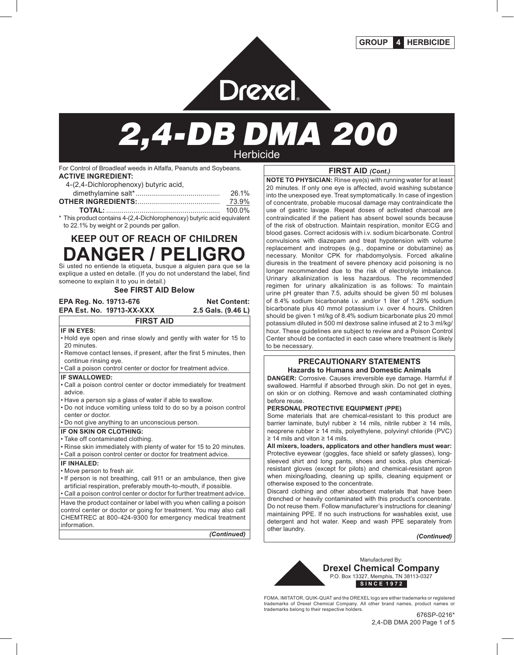

# Drexel.<br>2,4-DB DMA 200

For Control of Broadleaf weeds in Alfalfa, Peanuts and Soybeans. **ACTIVE INGREDIENT:**

| AUTIVE INGREDIENT.                    |  |
|---------------------------------------|--|
| 4-(2,4-Dichlorophenoxy) butyric acid, |  |

| 26.1%  |
|--------|
|        |
| 73.9%  |
| 100.0% |
|        |

\* This product contains 4-(2,4-Dichlorophenoxy) butyric acid equivalent to 22.1% by weight or 2 pounds per gallon.

# **KEEP OUT OF REACH OF CHILDREN DANGER / PELIGRO**

Si usted no entiende la etiqueta, busque a alguien para que se la explique a usted en detalle. (If you do not understand the label, find someone to explain it to you in detail.)

#### **See FIRST AID Below**

#### **EPA Reg. No. 19713-676 Net Content: EPA Est. No. 19713-XX-XXX**

#### **IF IN EYES:**

• Hold eye open and rinse slowly and gently with water for 15 to 20 minutes.

**FIRST AID**

- Remove contact lenses, if present, after the first 5 minutes, then continue rinsing eye.
- Call a poison control center or doctor for treatment advice.

#### **IF SWALLOWED:**

- Call a poison control center or doctor immediately for treatment advice.
- Have a person sip a glass of water if able to swallow.
- Do not induce vomiting unless told to do so by a poison control center or doctor.
- Do not give anything to an unconscious person.

#### **IF ON SKIN OR CLOTHING:**

- Take off contaminated clothing.
- Rinse skin immediately with plenty of water for 15 to 20 minutes.
- Call a poison control center or doctor for treatment advice.

#### **IF INHALED:**

- Move person to fresh air.
- If person is not breathing, call 911 or an ambulance, then give artificial respiration, preferably mouth-to-mouth, if possible.
- Call a poison control center or doctor for further treatment advice. Have the product container or label with you when calling a poison control center or doctor or going for treatment. You may also call CHEMTREC at 800-424-9300 for emergency medical treatment information.

*(Continued)*

### **FIRST AID** *(Cont.)*

**NOTE TO PHYSICIAN:** Rinse eye(s) with running water for at least 20 minutes. If only one eye is affected, avoid washing substance into the unexposed eye. Treat symptomatically. In case of ingestion of concentrate, probable mucosal damage may contraindicate the use of gastric lavage. Repeat doses of activated charcoal are contraindicated if the patient has absent bowel sounds because of the risk of obstruction. Maintain respiration, monitor ECG and blood gases. Correct acidosis with i.v. sodium bicarbonate. Control convulsions with diazepam and treat hypotension with volume replacement and inotropes (e.g., dopamine or dobutamine) as necessary. Monitor CPK for rhabdomyolysis. Forced alkaline diuresis in the treatment of severe phenoxy acid poisoning is no longer recommended due to the risk of electrolyte imbalance. Urinary alkalinization is less hazardous. The recommended regimen for urinary alkalinization is as follows: To maintain urine pH greater than 7.5, adults should be given 50 ml boluses of 8.4% sodium bicarbonate i.v. and/or 1 liter of 1.26% sodium bicarbonate plus 40 mmol potassium i.v. over 4 hours. Children should be given 1 ml/kg of 8.4% sodium bicarbonate plus 20 mmol potassium diluted in 500 ml dextrose saline infused at 2 to 3 ml/kg/ hour. These guidelines are subject to review and a Poison Control Center should be contacted in each case where treatment is likely to be necessary.

#### **PRECAUTIONARY STATEMENTS Hazards to Humans and Domestic Animals**

**DANGER:** Corrosive. Causes irreversible eye damage. Harmful if swallowed. Harmful if absorbed through skin. Do not get in eyes, on skin or on clothing. Remove and wash contaminated clothing before reuse.

#### **PERSONAL PROTECTIVE EQUIPMENT (PPE)**

Some materials that are chemical-resistant to this product are barrier laminate, butyl rubber ≥ 14 mils, nitrile rubber ≥ 14 mils, neoprene rubber ≥ 14 mils, polyethylene, polyvinyl chloride (PVC) ≥ 14 mils and viton ≥ 14 mils.

**All mixers, loaders, applicators and other handlers must wear:** Protective eyewear (goggles, face shield or safety glasses), longsleeved shirt and long pants, shoes and socks, plus chemicalresistant gloves (except for pilots) and chemical-resistant apron when mixing/loading, cleaning up spills, cleaning equipment or otherwise exposed to the concentrate.

Discard clothing and other absorbent materials that have been drenched or heavily contaminated with this product's concentrate. Do not reuse them. Follow manufacturer's instructions for cleaning/ maintaining PPE. If no such instructions for washables exist, use detergent and hot water. Keep and wash PPE separately from other laundry.

*(Continued)*



FOMA, IMITATOR, QUIK-QUAT and the DREXEL logo are either trademarks or registered trademarks of Drexel Chemical Company. All other brand names, product names or trademarks belong to their respective holders.

2,4-DB DMA 200 Page 1 of 5 676SP-0216\*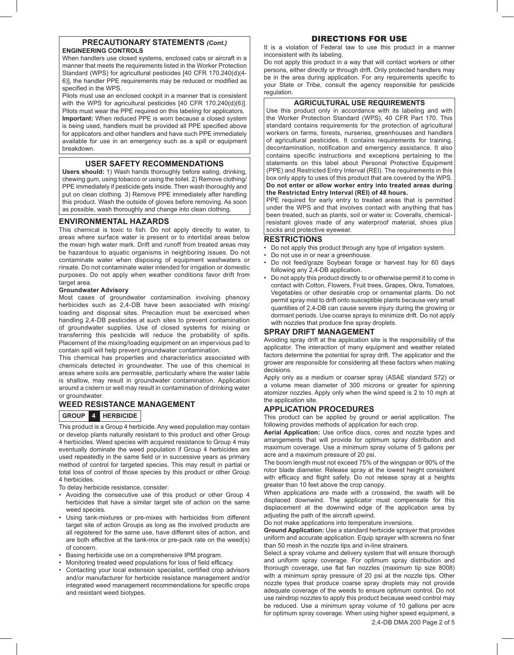#### **PRECAUTIONARY STATEMENTS** *(Cont.)* **ENGINEERING CONTROLS**

When handlers use closed systems, enclosed cabs or aircraft in a manner that meets the requirements listed in the Worker Protection Standard (WPS) for agricultural pesticides [40 CFR 170.240(d)(4- 6)], the handler PPE requirements may be reduced or modified as specified in the WPS.

Pilots must use an enclosed cockpit in a manner that is consistent with the WPS for agricultural pesticides [40 CFR 170.240(d)(6)]. Pilots must wear the PPE required on this labeling for applicators. **Important:** When reduced PPE is worn because a closed system is being used, handlers must be provided all PPE specified above for applicators and other handlers and have such PPE immediately available for use in an emergency such as a spill or equipment breakdown.

#### **USER SAFETY RECOMMENDATIONS**

**Users should:** 1) Wash hands thoroughly before eating, drinking, chewing gum, using tobacco or using the toilet. 2) Remove clothing/ PPE immediately if pesticide gets inside. Then wash thoroughly and put on clean clothing. 3) Remove PPE immediately after handling this product. Wash the outside of gloves before removing. As soon as possible, wash thoroughly and change into clean clothing.

#### **ENVIRONMENTAL HAZARDS**

This chemical is toxic to fish. Do not apply directly to water, to areas where surface water is present or to intertidal areas below the mean high water mark. Drift and runoff from treated areas may be hazardous to aquatic organisms in neighboring issues. Do not contaminate water when disposing of equipment washwaters or rinsate. Do not contaminate water intended for irrigation or domestic purposes. Do not apply when weather conditions favor drift from target area.

#### **Groundwater Advisory**

Most cases of groundwater contamination involving phenoxy herbicides such as 2,4-DB have been associated with mixing/ loading and disposal sites. Precaution must be exercised when handling 2,4-DB pesticides at such sites to prevent contamination of groundwater supplies. Use of closed systems for mixing or transferring this pesticide will reduce the probability of spills. Placement of the mixing/loading equipment on an impervious pad to contain spill will help prevent groundwater contamination.

This chemical has properties and characteristics associated with chemicals detected in groundwater. The use of this chemical in areas where soils are permeable, particularly where the water table is shallow, may result in groundwater contamination. Application around a cistern or well may result in contamination of drinking water or groundwater.

#### **WEED RESISTANCE MANAGEMENT**

#### **GROUP 4 HERBICIDE**

This product is a Group 4 herbicide. Any weed population may contain or develop plants naturally resistant to this product and other Group 4 herbicides. Weed species with acquired resistance to Group 4 may eventually dominate the weed population if Group 4 herbicides are used repeatedly in the same field or in successive years as primary method of control for targeted species. This may result in partial or total loss of control of those species by this product or other Group 4 herbicides.

To delay herbicide resistance, consider:

- Avoiding the consecutive use of this product or other Group 4 herbicides that have a similar target site of action on the same weed species.
- Using tank-mixtures or pre-mixes with herbicides from different target site of action Groups as long as the involved products are all registered for the same use, have different sites of action, and are both effective at the tank-mix or pre-pack rate on the weed(s) of concern.
- Basing herbicide use on a comprehensive IPM program.
- Monitoring treated weed populations for loss of field efficacy.
- Contacting your local extension specialist, certified crop advisors and/or manufacturer for herbicide resistance management and/or integrated weed management recommendations for specific crops and resistant weed biotypes.

#### DIRECTIONS FOR USE

It is a violation of Federal law to use this product in a manner inconsistent with its labeling.

Do not apply this product in a way that will contact workers or other persons, either directly or through drift. Only protected handlers may be in the area during application. For any requirements specific to your State or Tribe, consult the agency responsible for pesticide regulation.

#### **AGRICULTURAL USE REQUIREMENTS**

Use this product only in accordance with its labeling and with the Worker Protection Standard (WPS), 40 CFR Part 170. This standard contains requirements for the protection of agricultural workers on farms, forests, nurseries, greenhouses and handlers of agricultural pesticides. It contains requirements for training, decontamination, notification and emergency assistance. It also contains specific instructions and exceptions pertaining to the statements on this label about Personal Protective Equipment (PPE) and Restricted Entry Interval (REI). The requirements in this box only apply to uses of this product that are covered by the WPS. **Do not enter or allow worker entry into treated areas during the Restricted Entry Interval (REI) of 48 hours.**

PPE required for early entry to treated areas that is permitted under the WPS and that involves contact with anything that has been treated, such as plants, soil or water is: Coveralls, chemicalresistant gloves made of any waterproof material, shoes plus socks and protective eyewear.

#### **RESTRICTIONS**

- Do not apply this product through any type of irrigation system.
- Do not use in or near a greenhouse.
- Do not feed/graze Soybean forage or harvest hay for 60 days following any 2,4-DB application.
- Do not apply this product directly to or otherwise permit it to come in contact with Cotton, Flowers, Fruit trees, Grapes, Okra, Tomatoes, Vegetables or other desirable crop or ornamental plants. Do not permit spray mist to drift onto susceptible plants because very small quantities of 2,4-DB can cause severe injury during the growing or dormant periods. Use coarse sprays to minimize drift. Do not apply with nozzles that produce fine spray droplets.

#### **SPRAY DRIFT MANAGEMENT**

Avoiding spray drift at the application site is the responsibility of the applicator. The interaction of many equipment and weather related factors determine the potential for spray drift. The applicator and the grower are responsible for considering all these factors when making decisions.

Apply only as a medium or coarser spray (ASAE standard 572) or a volume mean diameter of 300 microns or greater for spinning atomizer nozzles. Apply only when the wind speed is 2 to 10 mph at the application site.

#### **APPLICATION PROCEDURES**

This product can be applied by ground or aerial application. The following provides methods of application for each crop.

**Aerial Application:** Use orifice discs, cores and nozzle types and arrangements that will provide for optimum spray distribution and maximum coverage. Use a minimum spray volume of 5 gallons per acre and a maximum pressure of 20 psi.

The boom length must not exceed 75% of the wingspan or 90% of the rotor blade diameter. Release spray at the lowest height consistent with efficacy and flight safety. Do not release spray at a heights greater than 10 feet above the crop canopy.

When applications are made with a crosswind, the swath will be displaced downwind. The applicator must compensate for this displacement at the downwind edge of the application area by adjusting the path of the aircraft upwind.

Do not make applications into temperature inversions.

**Ground Application:** Use a standard herbicide sprayer that provides uniform and accurate application. Equip sprayer with screens no finer than 50 mesh in the nozzle tips and in-line strainers.

Select a spray volume and delivery system that will ensure thorough and uniform spray coverage. For optimum spray distribution and thorough coverage, use flat fan nozzles (maximum tip size 8008) with a minimum spray pressure of 20 psi at the nozzle tips. Other nozzle types that produce coarse spray droplets may not provide adequate coverage of the weeds to ensure optimum control. Do not use raindrop nozzles to apply this product because weed control may be reduced. Use a minimum spray volume of 10 gallons per acre for optimum spray coverage. When using higher speed equipment, a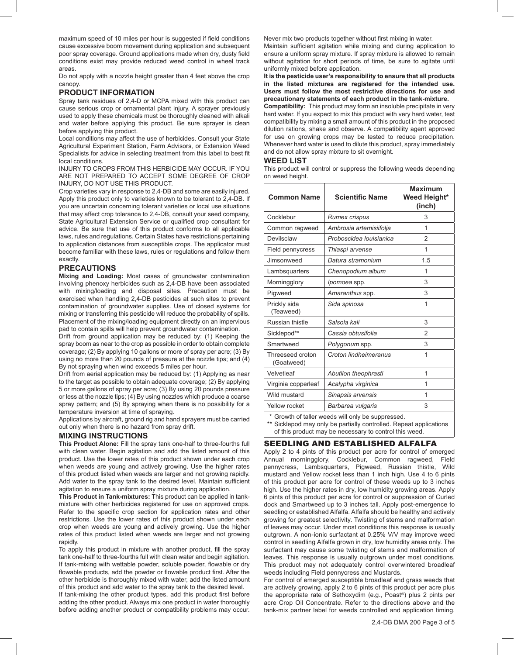maximum speed of 10 miles per hour is suggested if field conditions cause excessive boom movement during application and subsequent poor spray coverage. Ground applications made when dry, dusty field conditions exist may provide reduced weed control in wheel track areas.

Do not apply with a nozzle height greater than 4 feet above the crop canopy.

#### **PRODUCT INFORMATION**

Spray tank residues of 2,4-D or MCPA mixed with this product can cause serious crop or ornamental plant injury. A sprayer previously used to apply these chemicals must be thoroughly cleaned with alkali and water before applying this product. Be sure sprayer is clean before applying this product.

Local conditions may affect the use of herbicides. Consult your State Agricultural Experiment Station, Farm Advisors, or Extension Weed Specialists for advice in selecting treatment from this label to best fit local conditions.

INJURY TO CROPS FROM THIS HERBICIDE MAY OCCUR. IF YOU ARE NOT PREPARED TO ACCEPT SOME DEGREE OF CROP INJURY, DO NOT USE THIS PRODUCT.

Crop varieties vary in response to 2,4-DB and some are easily injured. Apply this product only to varieties known to be tolerant to 2,4-DB. If you are uncertain concerning tolerant varieties or local use situations that may affect crop tolerance to 2,4-DB, consult your seed company, State Agricultural Extension Service or qualified crop consultant for advice. Be sure that use of this product conforms to all applicable laws, rules and regulations. Certain States have restrictions pertaining to application distances from susceptible crops. The applicator must become familiar with these laws, rules or regulations and follow them exactly.

#### **PRECAUTIONS**

**Mixing and Loading:** Most cases of groundwater contamination involving phenoxy herbicides such as 2,4-DB have been associated with mixing/loading and disposal sites. Precaution must be exercised when handling 2,4-DB pesticides at such sites to prevent contamination of groundwater supplies. Use of closed systems for mixing or transferring this pesticide will reduce the probability of spills. Placement of the mixing/loading equipment directly on an impervious pad to contain spills will help prevent groundwater contamination.

Drift from ground application may be reduced by: (1) Keeping the spray boom as near to the crop as possible in order to obtain complete coverage; (2) By applying 10 gallons or more of spray per acre; (3) By using no more than 20 pounds of pressure at the nozzle tips; and (4) By not spraying when wind exceeds 5 miles per hour.

Drift from aerial application may be reduced by: (1) Applying as near to the target as possible to obtain adequate coverage; (2) By applying 5 or more gallons of spray per acre; (3) By using 20 pounds pressure or less at the nozzle tips; (4) By using nozzles which produce a coarse spray pattern; and (5) By spraying when there is no possibility for a temperature inversion at time of spraying.

Applications by aircraft, ground rig and hand sprayers must be carried out only when there is no hazard from spray drift.

#### **MIXING INSTRUCTIONS**

**This Product Alone:** Fill the spray tank one-half to three-fourths full with clean water. Begin agitation and add the listed amount of this product. Use the lower rates of this product shown under each crop when weeds are young and actively growing. Use the higher rates of this product listed when weeds are larger and not growing rapidly. Add water to the spray tank to the desired level. Maintain sufficient agitation to ensure a uniform spray mixture during application.

**This Product in Tank-mixtures:** This product can be applied in tankmixture with other herbicides registered for use on approved crops. Refer to the specific crop section for application rates and other restrictions. Use the lower rates of this product shown under each crop when weeds are young and actively growing. Use the higher rates of this product listed when weeds are larger and not growing rapidly.

To apply this product in mixture with another product, fill the spray tank one-half to three-fourths full with clean water and begin agitation. If tank-mixing with wettable powder, soluble powder, flowable or dry flowable products, add the powder or flowable product first. After the other herbicide is thoroughly mixed with water, add the listed amount of this product and add water to the spray tank to the desired level.

If tank-mixing the other product types, add this product first before adding the other product. Always mix one product in water thoroughly before adding another product or compatibility problems may occur. Never mix two products together without first mixing in water.

Maintain sufficient agitation while mixing and during application to ensure a uniform spray mixture. If spray mixture is allowed to remain without agitation for short periods of time, be sure to agitate until uniformly mixed before application.

**It is the pesticide user's responsibility to ensure that all products in the listed mixtures are registered for the intended use. Users must follow the most restrictive directions for use and precautionary statements of each product in the tank-mixture.**

**Compatibility:** This product may form an insoluble precipitate in very hard water. If you expect to mix this product with very hard water, test compatibility by mixing a small amount of this product in the proposed dilution rations, shake and observe. A compatibility agent approved for use on growing crops may be tested to reduce precipitation. Whenever hard water is used to dilute this product, spray immediately and do not allow spray mixture to sit overnight.

#### **WEED LIST**

This product will control or suppress the following weeds depending on weed height.

| <b>Common Name</b>                               | <b>Scientific Name</b>  | <b>Maximum</b><br>Weed Height*<br>(inch) |
|--------------------------------------------------|-------------------------|------------------------------------------|
| Cocklebur                                        | <b>Rumex crispus</b>    | 3                                        |
| Common ragweed                                   | Ambrosia artemisiifolja | 1                                        |
| Devilsclaw                                       | Proboscidea Iouisianica | $\overline{2}$                           |
| Field pennycress                                 | Thlaspi arvense         | 1                                        |
| Jimsonweed                                       | Datura stramonium       | 1.5                                      |
| Lambsquarters                                    | Chenopodium album       | 1                                        |
| Morningglory                                     | Ipomoea spp.            | 3                                        |
| Pigweed                                          | Amaranthus spp.         | 3                                        |
| Prickly sida<br>(Teaweed)                        | Sida spinosa            | 1                                        |
| Russian thistle                                  | Salsola kali            | 3                                        |
| Sicklepod**                                      | Cassia obtusifolia      | $\mathfrak{p}$                           |
| Smartweed                                        | Polygonum spp.          | 3                                        |
| Threeseed croton<br>(Goatweed)                   | Croton lindheimeranus   | 1                                        |
| Velvetleaf                                       | Abutilon theophrasti    | 1                                        |
| Virginia copperleaf                              | Acalypha virginica      | 1                                        |
| Wild mustard                                     | Sinapsis arvensis       | 1                                        |
| Yellow rocket                                    | Barbarea vulgaris       | 3                                        |
| * Crowth of taller woode will only be euppropood |                         |                                          |

Growth of taller weeds will only be suppressed.

\*\* Sicklepod may only be partially controlled. Repeat applications of this product may be necessary to control this weed.

#### SEEDLING AND ESTABLISHED ALFALFA

Apply 2 to 4 pints of this product per acre for control of emerged Annual morningglory, Cocklebur, Common ragweed, Field pennycress, Lambsquarters, Pigweed, Russian thistle, Wild mustard and Yellow rocket less than 1 inch high. Use 4 to 6 pints of this product per acre for control of these weeds up to 3 inches high. Use the higher rates in dry, low humidity growing areas. Apply 6 pints of this product per acre for control or suppression of Curled dock and Smartweed up to 3 inches tall. Apply post-emergence to seedling or established Alfalfa. Alfalfa should be healthy and actively growing for greatest selectivity. Twisting of stems and malformation of leaves may occur. Under most conditions this response is usually outgrown. A non-ionic surfactant at 0.25% V/V may improve weed control in seedling Alfalfa grown in dry, low humidity areas only. The surfactant may cause some twisting of stems and malformation of leaves. This response is usually outgrown under most conditions. This product may not adequately control overwintered broadleaf weeds including Field pennycress and Mustards.

For control of emerged susceptible broadleaf and grass weeds that are actively growing, apply 2 to 6 pints of this product per acre plus the appropriate rate of Sethoxydim (e.g., Poast®) plus 2 pints per acre Crop Oil Concentrate. Refer to the directions above and the tank-mix partner label for weeds controlled and application timing.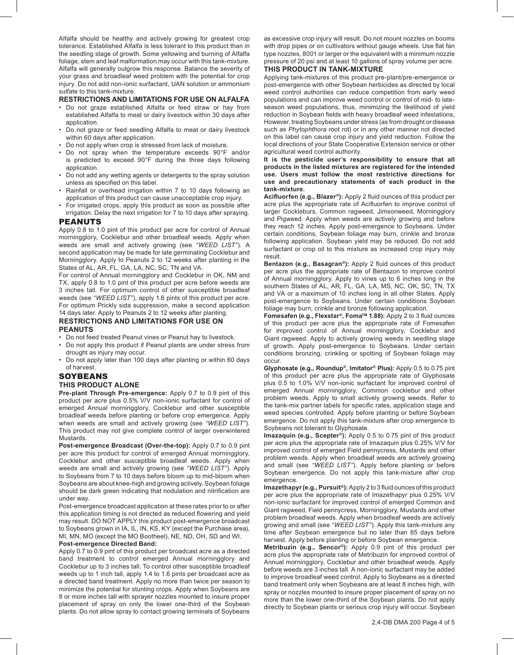Alfalfa should be healthy and actively growing for greatest crop tolerance. Established Alfalfa is less tolerant to this product than in the seedling stage of growth. Some yellowing and burning of Alfalfa foliage, stem and leaf malformation may occur with this tank-mixture. Alfalfa will generally outgrow this response. Balance the severity of your grass and broadleaf weed problem with the potential for crop injury. Do not add non-ionic surfactant, UAN solution or ammonium sulfate to this tank-mixture.

#### **RESTRICTIONS AND LIMITATIONS FOR USE ON ALFALFA**

- Do not graze established Alfalfa or feed straw or hay from established Alfalfa to meat or dairy livestock within 30 days after application.
- Do not graze or feed seedling Alfalfa to meat or dairy livestock within 60 days after application.
- Do not apply when crop is stressed from lack of moisture.
- Do not spray when the temperature exceeds 90°F and/or is predicted to exceed 90°F during the three days following application.
- Do not add any wetting agents or detergents to the spray solution unless as specified on this label.
- Rainfall or overhead irrigation within 7 to 10 days following an application of this product can cause unacceptable crop injury.
- For irrigated crops, apply this product as soon as possible after irrigation. Delay the next irrigation for 7 to 10 days after spraying.

#### PEANUTS

Apply 0.8 to 1.0 pint of this product per acre for control of Annual morningglory, Cocklebur and other broadleaf weeds. Apply when weeds are small and actively growing (see *"WEED LIST"*). A second application may be made for late germinating Cocklebur and Morningglory. Apply to Peanuts 2 to 12 weeks after planting in the States of AL, AR, FL, GA, LA, NC, SC, TN and VA.

For control of Annual morningglory and Cocklebur in OK, NM and TX, apply 0.8 to 1.0 pint of this product per acre before weeds are 3 inches tall. For optimum control of other susceptible broadleaf weeds (see *"WEED LIST"*), apply 1.6 pints of this product per acre. For optimum Prickly sida suppression, make a second application 14 days later. Apply to Peanuts 2 to 12 weeks after planting.

#### **RESTRICTIONS AND LIMITATIONS FOR USE ON PEANUTS**

- Do not feed treated Peanut vines or Peanut hay to livestock.
- Do not apply this product if Peanut plants are under stress from drought as injury may occur.
- Do not apply later than 100 days after planting or within 60 days of harvest.

#### **SOYBEANS**

#### **THIS PRODUCT ALONE**

**Pre-plant Through Pre-emergence:** Apply 0.7 to 0.9 pint of this product per acre plus 0.5% V/V non-ionic surfactant for control of emerged Annual morningglory, Cocklebur and other susceptible broadleaf weeds before planting or before crop emergence. Apply when weeds are small and actively growing (see *"WEED LIST"*). This product may not give complete control of larger overwintered Mustards.

**Post-emergence Broadcast (Over-the-top):** Apply 0.7 to 0.9 pint per acre this product for control of emerged Annual morningglory, Cocklebur and other susceptible broadleaf weeds. Apply when weeds are small and actively growing (see *"WEED LIST"*). Apply to Soybeans from 7 to 10 days before bloom up to mid-bloom when Soybeans are about knee-high and growing actively. Soybean foliage should be dark green indicating that nodulation and nitrification are under way.

Post-emergence broadcast application at these rates prior to or after this application timing is not directed as reduced flowering and yield may result. DO NOT APPLY this product post-emergence broadcast to Soybeans grown in IA, IL, IN, KS, KY (except the Purchase area), MI, MN, MO (except the MO Bootheel), NE, ND, OH, SD and WI.

#### **Post-emergence Directed Band:**

Apply 0.7 to 0.9 pint of this product per broadcast acre as a directed band treatment to control emerged Annual morningglory and Cocklebur up to 3 inches tall. To control other susceptible broadleaf weeds up to 1 inch tall, apply 1.4 to 1.6 pints per broadcast acre as a directed band treatment. Apply no more than twice per season to minimize the potential for stunting crops. Apply when Soybeans are 8 or more inches tall with sprayer nozzles mounted to insure proper placement of spray on only the lower one-third of the Soybean plants. Do not allow spray to contact growing terminals of Soybeans

as excessive crop injury will result. Do not mount nozzles on booms with drop pipes or on cultivators without gauge wheels. Use flat fan type nozzles, 8001 or larger or the equivalent with a minimum nozzle pressure of 20 psi and at least 10 gallons of spray volume per acre.

#### **THIS PRODUCT IN TANK-MIXTURE**

Applying tank-mixtures of this product pre-plant/pre-emergence or post-emergence with other Soybean herbicides as directed by local weed control authorities can reduce competition from early weed populations and can improve weed control or control of mid- to lateseason weed populations, thus, minimizing the likelihood of yield reduction in Soybean fields with heavy broadleaf weed infestations, However, treating Soybeans under stress (as from drought or disease such as *Phytophthora* root rot) or in any other manner not directed on this label can cause crop injury and yield reduction. Follow the local directions of your State Cooperative Extension service or other agricultural weed control authority.

**It is the pesticide user's responsibility to ensure that all products in the listed mixtures are registered for the intended use. Users must follow the most restrictive directions for use and precautionary statements of each product in the tank-mixture.**

**Acifluorfen (e.g., Blazer®):** Apply 2 fluid ounces of this product per acre plus the appropriate rate of Acifluorfen to improve control of larger Cockleburs, Common ragweed, Jimsonweed, Morningglory and Pigweed. Apply when weeds are actively growing and before they reach 12 inches. Apply post-emergence to Soybeans. Under certain conditions, Soybean foliage may burn, crinkle and bronze following application. Soybean yield may be reduced. Do not add surfactant or crop oil to this mixture as increased crop injury may result.

**Bentazon (e.g., Basagran®):** Apply 2 fluid ounces of this product per acre plus the appropriate rate of Bentazon to improve control of Annual morningglory. Apply to vines up to 6 inches long in the southern States of AL, AR, FL, GA, LA, MS, NC, OK, SC, TN, TX and VA or a maximum of 10 inches long in all other States. Apply post-emergence to Soybeans. Under certain conditions Soybean foliage may burn, crinkle and bronze following application.

**Fomesafen (e.g., Flexstar®, FomaTM 1.88):** Apply 2 to 3 fluid ounces of this product per acre plus the appropriate rate of Fomesafen for improved control of Annual morningglory, Cocklebur and Giant ragweed. Apply to actively growing weeds in seedling stage of growth. Apply post-emergence to Soybeans. Under certain conditions bronzing, crinkling or spotting of Soybean foliage may occur.

**Glyphosate (e.g., Roundup®, Imitator® Plus):** Apply 0.5 to 0.75 pint of this product per acre plus the appropriate rate of Glyphosate plus 0.5 to 1.0% V/V non-ionic surfactant for improved control of emerged Annual morningglory, Common cocklebur and other problem weeds. Apply to small actively growing weeds. Refer to the tank-mix partner labels for specific rates, application stage and weed species controlled. Apply before planting or before Soybean emergence. Do not apply this tank-mixture after crop emergence to Soybeans not tolerant to Glyphosate.

**Imazaquin (e.g., Scepter®):** Apply 0.5 to 0.75 pint of this product per acre plus the appropriate rate of Imazaquin plus 0.25% V/V for improved control of emerged Field pennycress, Mustards and other problem weeds. Apply when broadleaf weeds are actively growing and small (see *"WEED LIST"*). Apply before planting or before Soybean emergence. Do not apply this tank-mixture after crop emergence.

**Imazethapyr (e.g., Pursuit®):** Apply 2 to 3 fluid ounces of this product per acre plus the appropriate rate of Imazethapyr plus 0.25% V/V non-ionic surfactant for improved control of emerged Common and Giant ragweed, Field pennycress, Morningglory, Mustards and other problem broadleaf weeds. Apply when broadleaf weeds are actively growing and small (see *"WEED LIST"*). Apply this tank-mixture any time after Soybean emergence but no later than 85 days before harvest. Apply before planting or before Soybean emergence.

**Metribuzin (e.g., Sencor®):** Apply 0.9 pint of this product per acre plus the appropriate rate of Metribuzin for improved control of Annual morningglory, Cocklebur and other broadleaf weeds. Apply before weeds are 3 inches tall. A non-ionic surfactant may be added to improve broadleaf weed control. Apply to Soybeans as a directed band treatment only when Soybeans are at least 8 inches high, with spray or nozzles mounted to insure proper placement of spray on no more than the lower one-third of the Soybean plants. Do not apply directly to Soybean plants or serious crop injury will occur. Soybean